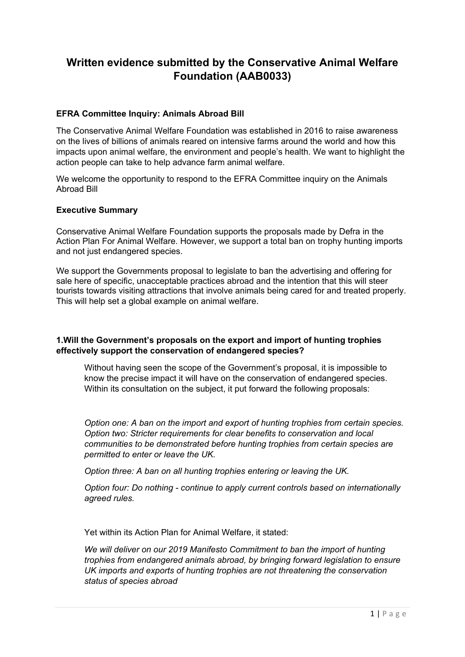# **Written evidence submitted by the Conservative Animal Welfare Foundation (AAB0033)**

### **EFRA Committee Inquiry: Animals Abroad Bill**

The Conservative Animal Welfare Foundation was established in 2016 to raise awareness on the lives of billions of animals reared on intensive farms around the world and how this impacts upon animal welfare, the environment and people's health. We want to highlight the action people can take to help advance farm animal welfare.

We welcome the opportunity to respond to the EFRA Committee inquiry on the Animals Abroad Bill

### **Executive Summary**

Conservative Animal Welfare Foundation supports the proposals made by Defra in the Action Plan For Animal Welfare. However, we support a total ban on trophy hunting imports and not just endangered species.

We support the Governments proposal to legislate to ban the advertising and offering for sale here of specific, unacceptable practices abroad and the intention that this will steer tourists towards visiting attractions that involve animals being cared for and treated properly. This will help set a global example on animal welfare.

## **1.Will the Government's proposals on the export and import of hunting trophies effectively support the conservation of endangered species?**

Without having seen the scope of the Government's proposal, it is impossible to know the precise impact it will have on the conservation of endangered species. Within its consultation on the subject, it put forward the following proposals:

*Option one: A ban on the import and export of hunting trophies from certain species. Option two: Stricter requirements for clear benefits to conservation and local communities to be demonstrated before hunting trophies from certain species are permitted to enter or leave the UK.*

*Option three: A ban on all hunting trophies entering or leaving the UK.*

*Option four: Do nothing - continue to apply current controls based on internationally agreed rules.*

Yet within its Action Plan for Animal Welfare, it stated:

*We will deliver on our 2019 Manifesto Commitment to ban the import of hunting trophies from endangered animals abroad, by bringing forward legislation to ensure UK imports and exports of hunting trophies are not threatening the conservation status of species abroad*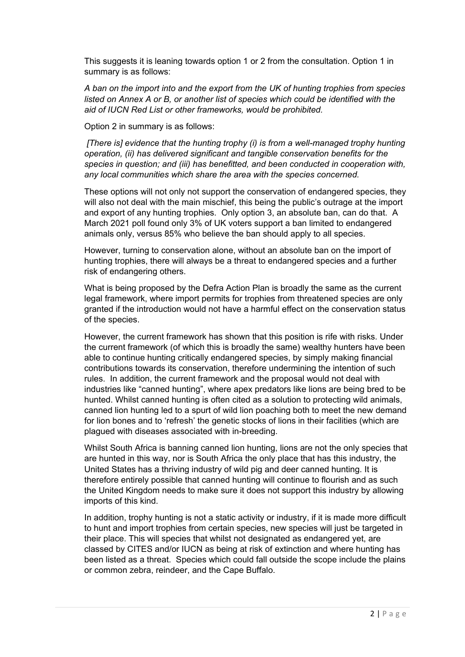This suggests it is leaning towards option 1 or 2 from the consultation. Option 1 in summary is as follows:

*A ban on the import into and the export from the UK of hunting trophies from species listed on Annex A or B, or another list of species which could be identified with the aid of IUCN Red List or other frameworks, would be prohibited.*

Option 2 in summary is as follows:

*[There is] evidence that the hunting trophy (i) is from a well-managed trophy hunting operation, (ii) has delivered significant and tangible conservation benefits for the species in question; and (iii) has benefitted, and been conducted in cooperation with, any local communities which share the area with the species concerned.*

These options will not only not support the conservation of endangered species, they will also not deal with the main mischief, this being the public's outrage at the import and export of any hunting trophies. Only option 3, an absolute ban, can do that. A March 2021 poll found only 3% of UK voters support a ban limited to endangered animals only, versus 85% who believe the ban should apply to all species.

However, turning to conservation alone, without an absolute ban on the import of hunting trophies, there will always be a threat to endangered species and a further risk of endangering others.

What is being proposed by the Defra Action Plan is broadly the same as the current legal framework, where import permits for trophies from threatened species are only granted if the introduction would not have a harmful effect on the conservation status of the species.

However, the current framework has shown that this position is rife with risks. Under the current framework (of which this is broadly the same) wealthy hunters have been able to continue hunting critically endangered species, by simply making financial contributions towards its conservation, therefore undermining the intention of such rules. In addition, the current framework and the proposal would not deal with industries like "canned hunting", where apex predators like lions are being bred to be hunted. Whilst canned hunting is often cited as a solution to protecting wild animals, canned lion hunting led to a spurt of wild lion poaching both to meet the new demand for lion bones and to 'refresh' the genetic stocks of lions in their facilities (which are plagued with diseases associated with in-breeding.

Whilst South Africa is banning canned lion hunting, lions are not the only species that are hunted in this way, nor is South Africa the only place that has this industry, the United States has a thriving industry of wild pig and deer canned hunting. It is therefore entirely possible that canned hunting will continue to flourish and as such the United Kingdom needs to make sure it does not support this industry by allowing imports of this kind.

In addition, trophy hunting is not a static activity or industry, if it is made more difficult to hunt and import trophies from certain species, new species will just be targeted in their place. This will species that whilst not designated as endangered yet, are classed by CITES and/or IUCN as being at risk of extinction and where hunting has been listed as a threat. Species which could fall outside the scope include the plains or common zebra, reindeer, and the Cape Buffalo.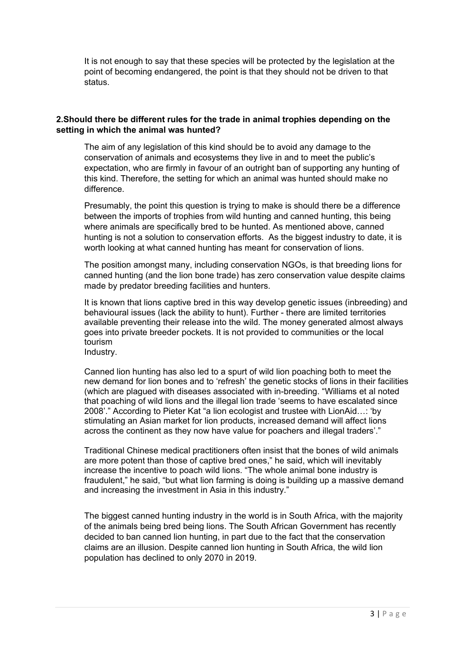It is not enough to say that these species will be protected by the legislation at the point of becoming endangered, the point is that they should not be driven to that status.

## **2.Should there be different rules for the trade in animal trophies depending on the setting in which the animal was hunted?**

The aim of any legislation of this kind should be to avoid any damage to the conservation of animals and ecosystems they live in and to meet the public's expectation, who are firmly in favour of an outright ban of supporting any hunting of this kind. Therefore, the setting for which an animal was hunted should make no difference.

Presumably, the point this question is trying to make is should there be a difference between the imports of trophies from wild hunting and canned hunting, this being where animals are specifically bred to be hunted. As mentioned above, canned hunting is not a solution to conservation efforts. As the biggest industry to date, it is worth looking at what canned hunting has meant for conservation of lions.

The position amongst many, including conservation NGOs, is that breeding lions for canned hunting (and the lion bone trade) has zero conservation value despite claims made by predator breeding facilities and hunters.

It is known that lions captive bred in this way develop genetic issues (inbreeding) and behavioural issues (lack the ability to hunt). Further - there are limited territories available preventing their release into the wild. The money generated almost always goes into private breeder pockets. It is not provided to communities or the local tourism

Industry.

Canned lion hunting has also led to a spurt of wild lion poaching both to meet the new demand for lion bones and to 'refresh' the genetic stocks of lions in their facilities (which are plagued with diseases associated with in-breeding. "Williams et al noted that poaching of wild lions and the illegal lion trade 'seems to have escalated since 2008'." According to Pieter Kat "a lion ecologist and trustee with LionAid…: 'by stimulating an Asian market for lion products, increased demand will affect lions across the continent as they now have value for poachers and illegal traders'."

Traditional Chinese medical practitioners often insist that the bones of wild animals are more potent than those of captive bred ones," he said, which will inevitably increase the incentive to poach wild lions. "The whole animal bone industry is fraudulent," he said, "but what lion farming is doing is building up a massive demand and increasing the investment in Asia in this industry."

The biggest canned hunting industry in the world is in South Africa, with the majority of the animals being bred being lions. The South African Government has recently decided to ban canned lion hunting, in part due to the fact that the conservation claims are an illusion. Despite canned lion hunting in South Africa, the wild lion population has declined to only 2070 in 2019.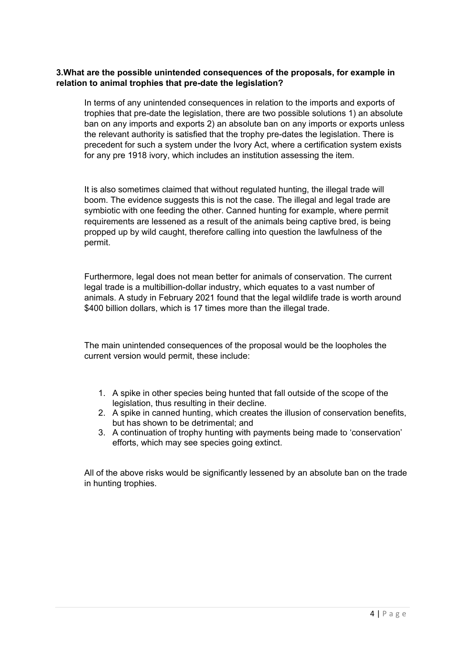### **3.What are the possible unintended consequences of the proposals, for example in relation to animal trophies that pre-date the legislation?**

In terms of any unintended consequences in relation to the imports and exports of trophies that pre-date the legislation, there are two possible solutions 1) an absolute ban on any imports and exports 2) an absolute ban on any imports or exports unless the relevant authority is satisfied that the trophy pre-dates the legislation. There is precedent for such a system under the Ivory Act, where a certification system exists for any pre 1918 ivory, which includes an institution assessing the item.

It is also sometimes claimed that without regulated hunting, the illegal trade will boom. The evidence suggests this is not the case. The illegal and legal trade are symbiotic with one feeding the other. Canned hunting for example, where permit requirements are lessened as a result of the animals being captive bred, is being propped up by wild caught, therefore calling into question the lawfulness of the permit.

Furthermore, legal does not mean better for animals of conservation. The current legal trade is a multibillion-dollar industry, which equates to a vast number of animals. A study in February 2021 found that the legal wildlife trade is worth around \$400 billion dollars, which is 17 times more than the illegal trade.

The main unintended consequences of the proposal would be the loopholes the current version would permit, these include:

- 1. A spike in other species being hunted that fall outside of the scope of the legislation, thus resulting in their decline.
- 2. A spike in canned hunting, which creates the illusion of conservation benefits, but has shown to be detrimental; and
- 3. A continuation of trophy hunting with payments being made to 'conservation' efforts, which may see species going extinct.

All of the above risks would be significantly lessened by an absolute ban on the trade in hunting trophies.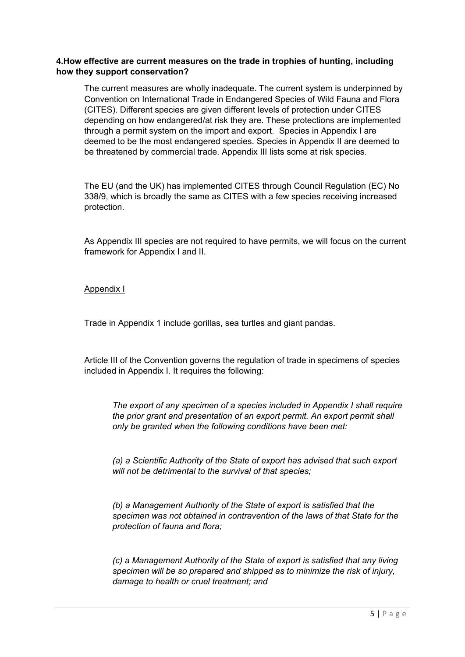### **4.How effective are current measures on the trade in trophies of hunting, including how they support conservation?**

The current measures are wholly inadequate. The current system is underpinned by Convention on International Trade in Endangered Species of Wild Fauna and Flora (CITES). Different species are given different levels of protection under CITES depending on how endangered/at risk they are. These protections are implemented through a permit system on the import and export. Species in Appendix I are deemed to be the most endangered species. Species in Appendix II are deemed to be threatened by commercial trade. Appendix III lists some at risk species.

The EU (and the UK) has implemented CITES through Council Regulation (EC) No 338/9, which is broadly the same as CITES with a few species receiving increased protection.

As Appendix III species are not required to have permits, we will focus on the current framework for Appendix I and II.

#### Appendix I

Trade in Appendix 1 include gorillas, sea turtles and giant pandas.

Article III of the Convention governs the regulation of trade in specimens of species included in Appendix I. It requires the following:

*The export of any specimen of a species included in Appendix I shall require the prior grant and presentation of an export permit. An export permit shall only be granted when the following conditions have been met:*

*(a) a Scientific Authority of the State of export has advised that such export will not be detrimental to the survival of that species;*

*(b) a Management Authority of the State of export is satisfied that the specimen was not obtained in contravention of the laws of that State for the protection of fauna and flora;*

*(c) a Management Authority of the State of export is satisfied that any living specimen will be so prepared and shipped as to minimize the risk of injury, damage to health or cruel treatment; and*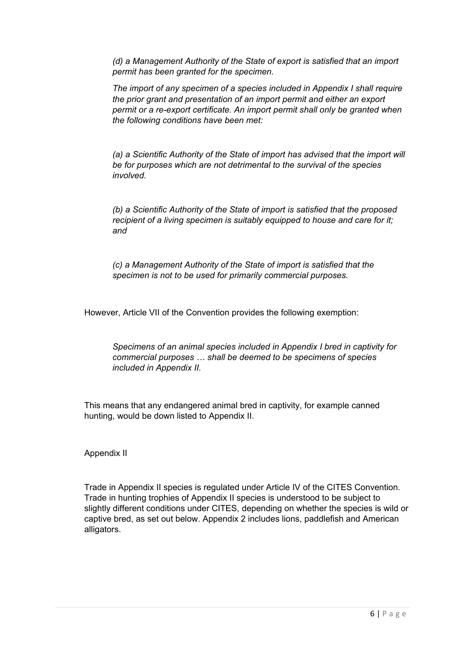*(d) a Management Authority of the State of export is satisfied that an import permit has been granted for the specimen.*

*The import of any specimen of a species included in Appendix I shall require the prior grant and presentation of an import permit and either an export permit or a re-export certificate. An import permit shall only be granted when the following conditions have been met:*

*(a) a Scientific Authority of the State of import has advised that the import will be for purposes which are not detrimental to the survival of the species involved.*

*(b) a Scientific Authority of the State of import is satisfied that the proposed recipient of a living specimen is suitably equipped to house and care for it; and*

*(c) a Management Authority of the State of import is satisfied that the specimen is not to be used for primarily commercial purposes.*

However, Article VII of the Convention provides the following exemption:

*Specimens of an animal species included in Appendix I bred in captivity for commercial purposes … shall be deemed to be specimens of species included in Appendix II.*

This means that any endangered animal bred in captivity, for example canned hunting, would be down listed to Appendix II.

Appendix II

Trade in Appendix II species is regulated under Article IV of the CITES Convention. Trade in hunting trophies of Appendix II species is understood to be subject to slightly different conditions under CITES, depending on whether the species is wild or captive bred, as set out below. Appendix 2 includes lions, paddlefish and American alligators.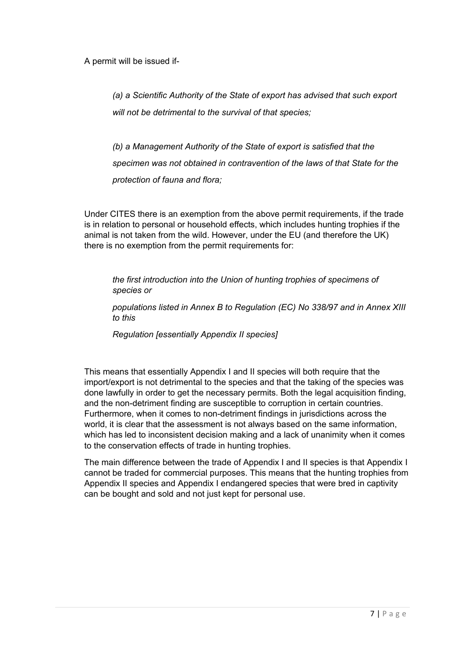A permit will be issued if-

*(a) a Scientific Authority of the State of export has advised that such export will not be detrimental to the survival of that species;*

*(b) a Management Authority of the State of export is satisfied that the specimen was not obtained in contravention of the laws of that State for the protection of fauna and flora;*

Under CITES there is an exemption from the above permit requirements, if the trade is in relation to personal or household effects, which includes hunting trophies if the animal is not taken from the wild. However, under the EU (and therefore the UK) there is no exemption from the permit requirements for:

*the first introduction into the Union of hunting trophies of specimens of species or*

*populations listed in Annex B to Regulation (EC) No 338/97 and in Annex XIII to this*

*Regulation [essentially Appendix II species]*

This means that essentially Appendix I and II species will both require that the import/export is not detrimental to the species and that the taking of the species was done lawfully in order to get the necessary permits. Both the legal acquisition finding, and the non-detriment finding are susceptible to corruption in certain countries. Furthermore, when it comes to non-detriment findings in jurisdictions across the world, it is clear that the assessment is not always based on the same information, which has led to inconsistent decision making and a lack of unanimity when it comes to the conservation effects of trade in hunting trophies.

The main difference between the trade of Appendix I and II species is that Appendix I cannot be traded for commercial purposes. This means that the hunting trophies from Appendix II species and Appendix I endangered species that were bred in captivity can be bought and sold and not just kept for personal use.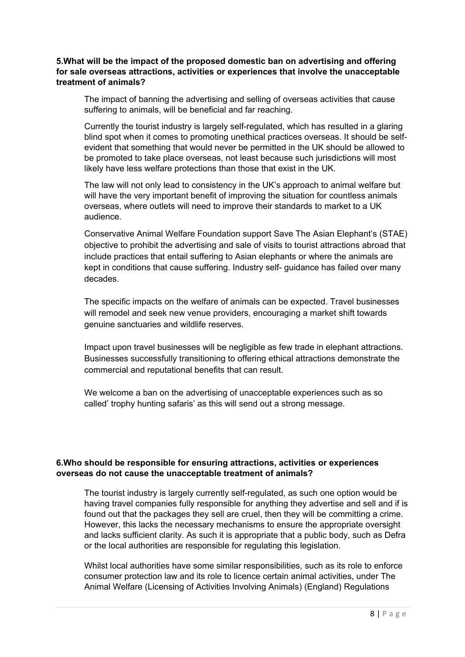## **5.What will be the impact of the proposed domestic ban on advertising and offering for sale overseas attractions, activities or experiences that involve the unacceptable treatment of animals?**

The impact of banning the advertising and selling of overseas activities that cause suffering to animals, will be beneficial and far reaching.

Currently the tourist industry is largely self-regulated, which has resulted in a glaring blind spot when it comes to promoting unethical practices overseas. It should be selfevident that something that would never be permitted in the UK should be allowed to be promoted to take place overseas, not least because such jurisdictions will most likely have less welfare protections than those that exist in the UK.

The law will not only lead to consistency in the UK's approach to animal welfare but will have the very important benefit of improving the situation for countless animals overseas, where outlets will need to improve their standards to market to a UK audience.

Conservative Animal Welfare Foundation support Save The Asian Elephant's (STAE) objective to prohibit the advertising and sale of visits to tourist attractions abroad that include practices that entail suffering to Asian elephants or where the animals are kept in conditions that cause suffering. Industry self- guidance has failed over many decades.

The specific impacts on the welfare of animals can be expected. Travel businesses will remodel and seek new venue providers, encouraging a market shift towards genuine sanctuaries and wildlife reserves.

Impact upon travel businesses will be negligible as few trade in elephant attractions. Businesses successfully transitioning to offering ethical attractions demonstrate the commercial and reputational benefits that can result.

We welcome a ban on the advertising of unacceptable experiences such as so called' trophy hunting safaris' as this will send out a strong message.

## **6.Who should be responsible for ensuring attractions, activities or experiences overseas do not cause the unacceptable treatment of animals?**

The tourist industry is largely currently self-regulated, as such one option would be having travel companies fully responsible for anything they advertise and sell and if is found out that the packages they sell are cruel, then they will be committing a crime. However, this lacks the necessary mechanisms to ensure the appropriate oversight and lacks sufficient clarity. As such it is appropriate that a public body, such as Defra or the local authorities are responsible for regulating this legislation.

Whilst local authorities have some similar responsibilities, such as its role to enforce consumer protection law and its role to licence certain animal activities, under The Animal Welfare (Licensing of Activities Involving Animals) (England) Regulations